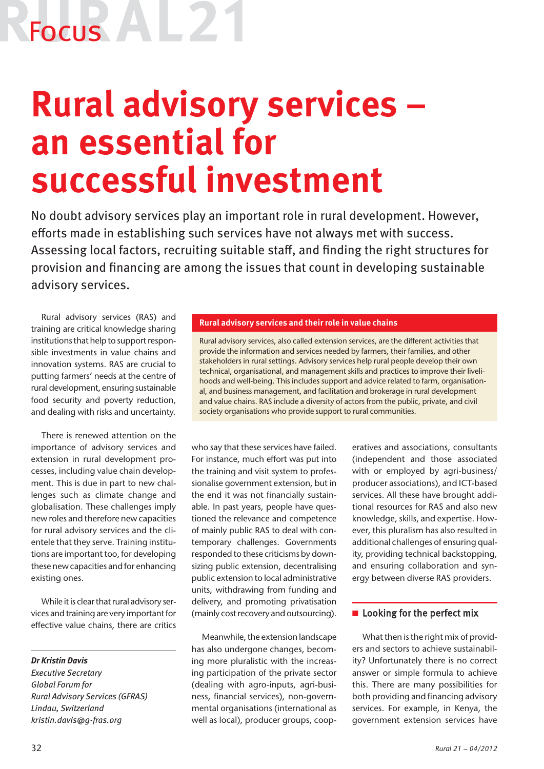# Focus

## **Rural advisory services – an essential for successful investment**

No doubt advisory services play an important role in rural development. However, efforts made in establishing such services have not always met with success. Assessing local factors, recruiting suitable staff, and finding the right structures for provision and financing are among the issues that count in developing sustainable advisory services.

Rural advisory services (RAS) and training are critical knowledge sharing institutions that help to support responsible investments in value chains and innovation systems. RAS are crucial to putting farmers' needs at the centre of rural development, ensuring sustainable food security and poverty reduction, and dealing with risks and uncertainty.

There is renewed attention on the importance of advisory services and extension in rural development processes, including value chain development. This is due in part to new challenges such as climate change and globalisation. These challenges imply new roles and therefore new capacities for rural advisory services and the clientele that they serve. Training institutions are important too, for developing these new capacities and for enhancing existing ones.

While it is clear that rural advisory services and training are very important for effective value chains, there are critics

*Dr Kristin Davis*

*Executive Secretary Global Forum for Rural Advisory Services (GFRAS) Lindau, Switzerland kristin.davis@g-fras.org*

### **Rural advisory services and their role in value chains**

Rural advisory services, also called extension services, are the different activities that provide the information and services needed by farmers, their families, and other stakeholders in rural settings. Advisory services help rural people develop their own technical, organisational, and management skills and practices to improve their livelihoods and well-being. This includes support and advice related to farm, organisational, and business management, and facilitation and brokerage in rural development and value chains. RAS include a diversity of actors from the public, private, and civil society organisations who provide support to rural communities.

who say that these services have failed. For instance, much effort was put into the training and visit system to professionalise government extension, but in the end it was not financially sustainable. In past years, people have questioned the relevance and competence of mainly public RAS to deal with contemporary challenges. Governments responded to these criticisms by downsizing public extension, decentralising public extension to local administrative units, withdrawing from funding and delivery, and promoting privatisation (mainly cost recovery and outsourcing).

Meanwhile, the extension landscape has also undergone changes, becoming more pluralistic with the increasing participation of the private sector (dealing with agro-inputs, agri-business, financial services), non-governmental organisations (international as well as local), producer groups, cooperatives and associations, consultants (independent and those associated with or employed by agri-business/ producer associations), and ICT-based services. All these have brought additional resources for RAS and also new knowledge, skills, and expertise. However, this pluralism has also resulted in additional challenges of ensuring quality, providing technical backstopping, and ensuring collaboration and synergy between diverse RAS providers.

#### $\blacksquare$  Looking for the perfect mix

What then is the right mix of providers and sectors to achieve sustainability? Unfortunately there is no correct answer or simple formula to achieve this. There are many possibilities for both providing and financing advisory services. For example, in Kenya, the government extension services have